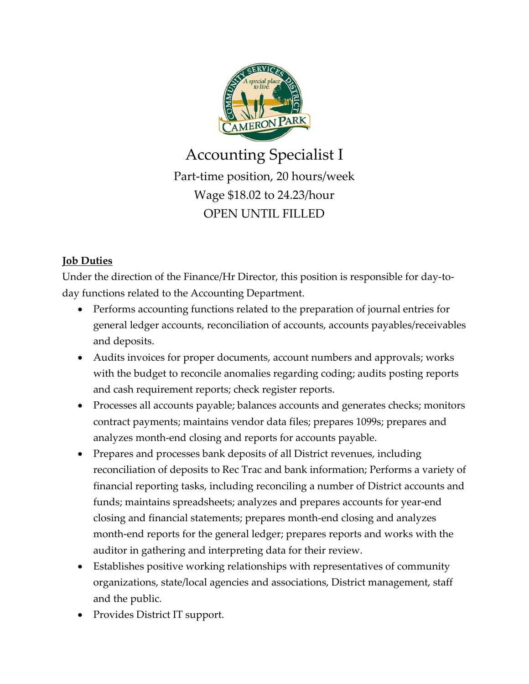

Accounting Specialist I Part-time position, 20 hours/week Wage \$18.02 to 24.23/hour OPEN UNTIL FILLED

# **Job Duties**

Under the direction of the Finance/Hr Director, this position is responsible for day-today functions related to the Accounting Department.

- Performs accounting functions related to the preparation of journal entries for general ledger accounts, reconciliation of accounts, accounts payables/receivables and deposits.
- Audits invoices for proper documents, account numbers and approvals; works with the budget to reconcile anomalies regarding coding; audits posting reports and cash requirement reports; check register reports.
- Processes all accounts payable; balances accounts and generates checks; monitors contract payments; maintains vendor data files; prepares 1099s; prepares and analyzes month-end closing and reports for accounts payable.
- Prepares and processes bank deposits of all District revenues, including reconciliation of deposits to Rec Trac and bank information; Performs a variety of financial reporting tasks, including reconciling a number of District accounts and funds; maintains spreadsheets; analyzes and prepares accounts for year-end closing and financial statements; prepares month-end closing and analyzes month-end reports for the general ledger; prepares reports and works with the auditor in gathering and interpreting data for their review.
- Establishes positive working relationships with representatives of community organizations, state/local agencies and associations, District management, staff and the public.
- Provides District IT support.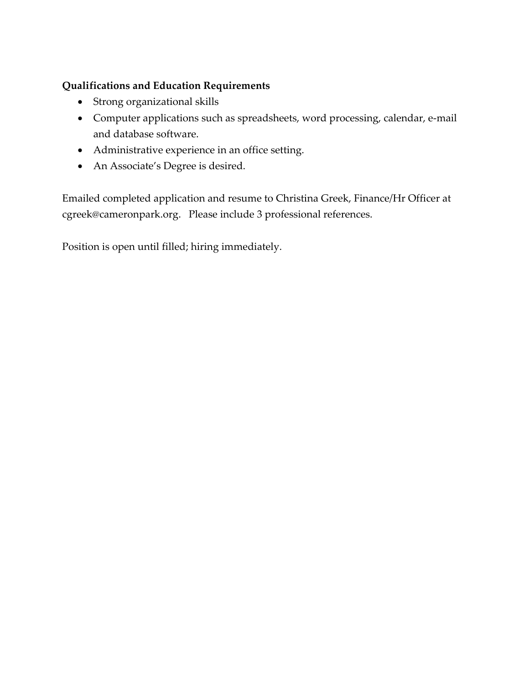# **Qualifications and Education Requirements**

- Strong organizational skills
- Computer applications such as spreadsheets, word processing, calendar, e-mail and database software.
- Administrative experience in an office setting.
- An Associate's Degree is desired.

Emailed completed application and resume to Christina Greek, Finance/Hr Officer at cgreek@cameronpark.org. Please include 3 professional references.

Position is open until filled; hiring immediately.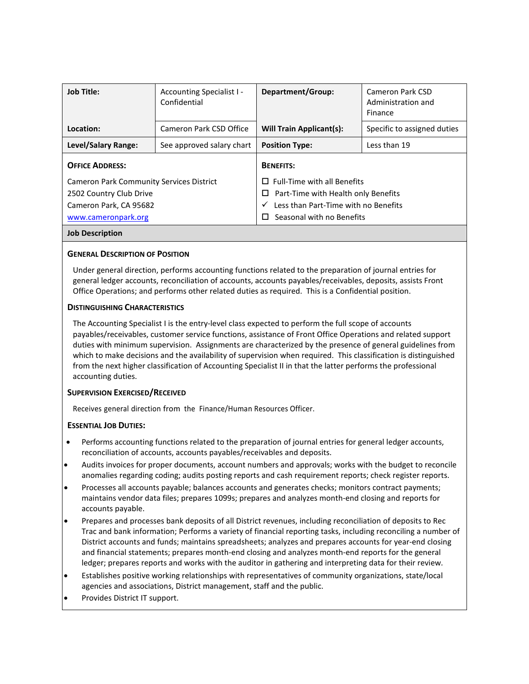| <b>Job Title:</b>                               | Accounting Specialist I -<br>Confidential | Department/Group:                                    | Cameron Park CSD<br>Administration and<br>Finance |
|-------------------------------------------------|-------------------------------------------|------------------------------------------------------|---------------------------------------------------|
| Location:                                       | Cameron Park CSD Office                   | <b>Will Train Applicant(s):</b>                      | Specific to assigned duties                       |
| Level/Salary Range:                             | See approved salary chart                 | <b>Position Type:</b>                                | Less than 19                                      |
| <b>OFFICE ADDRESS:</b>                          |                                           | <b>BENEFITS:</b>                                     |                                                   |
| <b>Cameron Park Community Services District</b> |                                           | <b>Full-Time with all Benefits</b><br>П              |                                                   |
| 2502 Country Club Drive                         |                                           | Part-Time with Health only Benefits<br>□             |                                                   |
| Cameron Park, CA 95682                          |                                           | Less than Part-Time with no Benefits<br>$\checkmark$ |                                                   |
| www.cameronpark.org                             |                                           | Seasonal with no Benefits<br>П                       |                                                   |
| <b>Job Description</b>                          |                                           |                                                      |                                                   |

# **GENERAL DESCRIPTION OF POSITION**

Under general direction, performs accounting functions related to the preparation of journal entries for general ledger accounts, reconciliation of accounts, accounts payables/receivables, deposits, assists Front Office Operations; and performs other related duties as required. This is a Confidential position.

### **DISTINGUISHING CHARACTERISTICS**

The Accounting Specialist I is the entry-level class expected to perform the full scope of accounts payables/receivables, customer service functions, assistance of Front Office Operations and related support duties with minimum supervision. Assignments are characterized by the presence of general guidelines from which to make decisions and the availability of supervision when required. This classification is distinguished from the next higher classification of Accounting Specialist II in that the latter performs the professional accounting duties.

# **SUPERVISION EXERCISED/RECEIVED**

Receives general direction from the Finance/Human Resources Officer.

# **ESSENTIAL JOB DUTIES:**

- Performs accounting functions related to the preparation of journal entries for general ledger accounts, reconciliation of accounts, accounts payables/receivables and deposits.
- Audits invoices for proper documents, account numbers and approvals; works with the budget to reconcile anomalies regarding coding; audits posting reports and cash requirement reports; check register reports.
- Processes all accounts payable; balances accounts and generates checks; monitors contract payments; maintains vendor data files; prepares 1099s; prepares and analyzes month-end closing and reports for accounts payable.
- Prepares and processes bank deposits of all District revenues, including reconciliation of deposits to Rec Trac and bank information; Performs a variety of financial reporting tasks, including reconciling a number of District accounts and funds; maintains spreadsheets; analyzes and prepares accounts for year-end closing and financial statements; prepares month-end closing and analyzes month-end reports for the general ledger; prepares reports and works with the auditor in gathering and interpreting data for their review.
- Establishes positive working relationships with representatives of community organizations, state/local agencies and associations, District management, staff and the public.
- Provides District IT support.